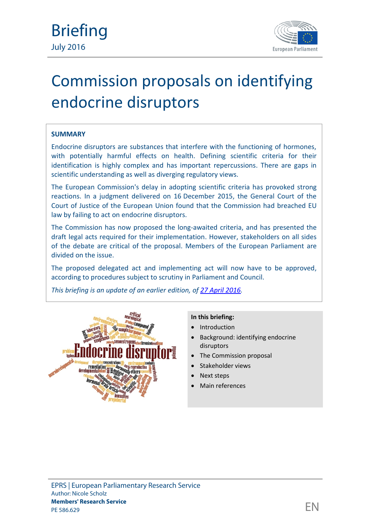

# **SUMMARY**

Endocrine disruptors are substances that interfere with the functioning of hormones, with potentially harmful effects on health. Defining scientific criteria for their identification is highly complex and has important repercussions. There are gaps in scientific understanding as well as diverging regulatory views.

The European Commission's delay in adopting scientific criteria has provoked strong reactions. In a judgment delivered on 16 December 2015, the General Court of the Court of Justice of the European Union found that the Commission had breached EU law by failing to act on endocrine disruptors.

The Commission has now proposed the long-awaited criteria, and has presented the draft legal acts required for their implementation. However, stakeholders on all sides of the debate are critical of the proposal. Members of the European Parliament are divided on the issue.

The proposed delegated act and implementing act will now have to be approved, according to procedures subject to scrutiny in Parliament and Council.

*This briefing is an update of an earlier edition, of [27 April 2016](http://www.europarl.europa.eu/RegData/etudes/BRIE/2016/581986/EPRS_BRI(2016)581986_EN.pdf).*



## **In this briefing:**

- Introduction
- Background: identifying endocrine disruptors
- The Commission proposal
- Stakeholder views
- Next steps
- Main references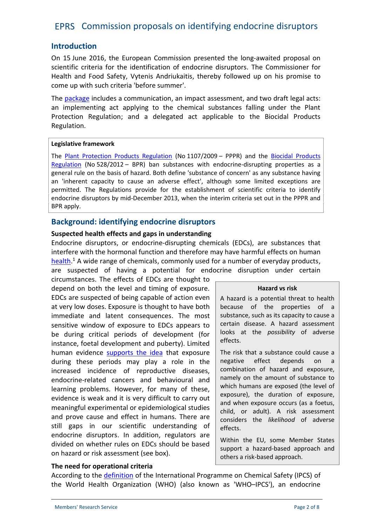# **Introduction**

On 15 June 2016, the European Commission presented the long-awaited proposal on scientific criteria for the identification of endocrine disruptors. The Commissioner for Health and Food Safety, Vytenis Andriukaitis, thereby followed up on his promise to come up with such criteria 'before summer'.

The [package](http://www.europarl.europa.eu/oeil/popups/ficheprocedure.do?reference=COM(2016)0350&l=en) includes a communication, an impact assessment, and two draft legal acts: an implementing act applying to the chemical substances falling under the Plant Protection Regulation; and a delegated act applicable to the Biocidal Products Regulation.

#### **Legislative framework**

The [Plant Protection Products Regulation](http://eur-lex.europa.eu/legal-content/EN/TXT/?qid=1441117869940&uri=CELEX:02009R1107-20140630) (No 1107/2009 – PPPR) and the [Biocidal Products](http://eur-lex.europa.eu/legal-content/EN/TXT/?qid=1441117933171&uri=CELEX:02012R0528-20140425) [Regulation](http://eur-lex.europa.eu/legal-content/EN/TXT/?qid=1441117933171&uri=CELEX:02012R0528-20140425) (No 528/2012 – BPR) ban substances with endocrine-disrupting properties as a general rule on the basis of hazard. Both define 'substance of concern' as any substance having an 'inherent capacity to cause an adverse effect', although some limited exceptions are permitted. The Regulations provide for the establishment of scientific criteria to identify endocrine disruptors by mid-December 2013, when the interim criteria set out in the PPPR and BPR apply.

# **Background: identifying endocrine disruptors**

## **Suspected health effects and gaps in understanding**

Endocrine disruptors, or endocrine-disrupting chemicals (EDCs), are substances that interfere with the hormonal function and therefore may have harmful effects on human [health](http://www.europarl.europa.eu/RegData/bibliotheque/briefing/2012/120303/LDM_BRI(2012)120303_REV1_EN.pdf).<sup>1</sup> A wide range of chemicals, commonly used for a number of everyday products, are suspected of having a potential for endocrine disruption under certain

circumstances. The effects of EDCs are thought to depend on both the level and timing of exposure. EDCs are suspected of being capable of action even at very low doses. Exposure is thought to have both immediate and latent consequences. The most sensitive window of exposure to EDCs appears to be during critical periods of development (for instance, foetal development and puberty). Limited human evidence [supports the idea](http://apps.who.int/iris/bitstream/10665/78102/1/WHO_HSE_PHE_IHE_2013.1_eng.pdf?ua=1) that exposure during these periods may play a role in the negative increased incidence of reproductive diseases, endocrine-related cancers and behavioural and learning problems. However, for many of these, evidence is weak and it is very difficult to carry out meaningful experimental or epidemiological studies and prove cause and effect in humans. There are still gaps in our scientific understanding of endocrine disruptors. In addition, regulators are divided on whether rules on EDCs should be based on hazard or risk assessment (see box).

#### **Hazard vs risk**

A hazard is a potential threat to health because of the properties of a substance, such as its capacity to cause a certain disease. A hazard assessment looks at the *possibility* of adverse effects.

The risk that a substance could cause a effect depends on a combination of hazard and exposure, namely on the amount of substance to which humans are exposed (the level of exposure), the duration of exposure, and when exposure occurs (as a foetus, child, or adult). A risk assessment considers the *likelihood* of adverse effects.

Within the EU, some Member States support a hazard-based approach and others a risk-based approach.

## **The need for operational criteria**

According to the [definition](http://www.who.int/ipcs/publications/en/ch1.pdf?ua=1) of the International Programme on Chemical Safety (IPCS) of the World Health Organization (WHO) (also known as 'WHO–IPCS'), an endocrine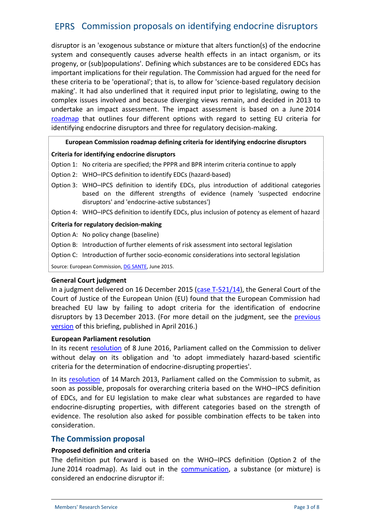disruptor is an 'exogenous substance or mixture that alters function(s) of the endocrine system and consequently causes adverse health effects in an intact organism, or its progeny, or (sub)populations'. Defining which substances are to be considered EDCs has important implications for their regulation. The Commission had argued for the need for these criteria to be 'operational'; that is, to allow for 'science-based regulatory decision making'. It had also underlined that it required input prior to legislating, owing to the complex issues involved and because diverging views remain, and decided in 2013 to undertake an impact assessment. The impact assessment is based on a June 2014 [roadmap](http://ec.europa.eu/smart-regulation/impact/planned_ia/docs/2014_env_009_endocrine_disruptors_en.pdf) that outlines four different options with regard to setting EU criteria for identifying endocrine disruptors and three for regulatory decision-making.

#### **European Commission roadmap defining criteria for identifying endocrine disruptors**

#### **Criteria for identifying endocrine disruptors**

- Option 1: No criteria are specified; the PPPR and BPR interim criteria continue to apply
- Option 2: WHO–IPCS definition to identify EDCs (hazard-based)
- Option 3: WHO–IPCS definition to identify EDCs, plus introduction of additional categories based on the different strengths of evidence (namely 'suspected endocrine disruptors' and 'endocrine-active substances')
- Option 4: WHO–IPCS definition to identify EDCs, plus inclusion of potency as element of hazard

#### **Criteria for regulatory decision-making**

- Option A: No policy change (baseline)
- Option B: Introduction of further elements of risk assessment into sectoral legislation
- Option C: Introduction of further socio-economic considerations into sectoral legislation

Source: European Commission, [DG SANTE](http://ec.europa.eu/health/endocrine_disruptors/docs/ev_20150601_co02_03_en.pdf), June 2015.

#### **General Court judgment**

In a judgment delivered on 16 December 2015 [\(case T-521/14](http://curia.europa.eu/juris/documents.jsf?pro=&lgrec=en&nat=or&oqp=&lg=&dates=&language=en&jur=C%2CT%2CF&cit=none%252CC%252CCJ%252CR%252C2008E%252C%252C%252C%252C%252C%252C%252C%252C%252C%252Ctrue%252Cfalse%252Cfalse&num=T-521%252F14&td=%3BALL&pcs=Oor&avg=&page=1&mat=or&jge=&for=&cid=894174)), the General Court of the Court of Justice of the European Union (EU) found that the European Commission had breached EU law by failing to adopt criteria for the identification of endocrine disruptors by 13 December 2013. (For more detail on the judgment, see the [previous](http://www.europarl.europa.eu/thinktank/en/document.html?reference=EPRS_BRI(2016)581986) [version](http://www.europarl.europa.eu/thinktank/en/document.html?reference=EPRS_BRI(2016)581986) of this briefing, published in April 2016.)

#### **European Parliament resolution**

In its recent [resolution](http://www.europarl.europa.eu/sides/getDoc.do?pubRef=-//EP//TEXT+TA+P8-TA-2016-0270+0+DOC+XML+V0//EN&language=EN) of 8 June 2016, Parliament called on the Commission to deliver without delay on its obligation and 'to adopt immediately hazard-based scientific criteria for the determination of endocrine-disrupting properties'.

In its [resolution](http://www.europarl.europa.eu/sides/getDoc.do?type=TA&reference=P7-TA-2013-0091&format=XML&language=EN) of 14 March 2013, Parliament called on the Commission to submit, as soon as possible, proposals for overarching criteria based on the WHO–IPCS definition of EDCs, and for EU legislation to make clear what substances are regarded to have endocrine-disrupting properties, with different categories based on the strength of evidence. The resolution also asked for possible combination effects to be taken into consideration.

# **The Commission proposal**

## **Proposed definition and criteria**

The definition put forward is based on the WHO–IPCS definition (Option 2 of the June 2014 roadmap). As laid out in the [communication](http://eur-lex.europa.eu/legal-content/EN/TXT/?qid=1466771010757&uri=CELEX:52016DC0350), a substance (or mixture) is considered an endocrine disruptor if: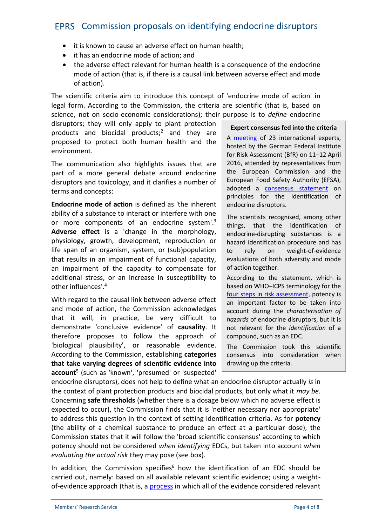- it is known to cause an adverse effect on human health;
- it has an endocrine mode of action; and
- the adverse effect relevant for human health is a consequence of the endocrine mode of action (that is, if there is a causal link between adverse effect and mode of action).

The scientific criteria aim to introduce this concept of 'endocrine mode of action' in legal form. According to the Commission, the criteria are scientific (that is, based on science, not on socio-economic considerations); their purpose is to *define* endocrine

disruptors; they will only apply to plant protection products and biocidal products;<sup>2</sup> and they are proposed to protect both human health and the environment.

The communication also highlights issues that are part of a more general debate around endocrine disruptors and toxicology, and it clarifies a number of terms and concepts:

**Endocrine mode of action** is defined as 'the inherent ability of a substance to interact or interfere with one or more components of an endocrine system'.<sup>3</sup> things, **Adverse effect** is a 'change in the morphology, physiology, growth, development, reproduction or life span of an organism, system, or (sub)population  $\parallel$  to rely that results in an impairment of functional capacity, an impairment of the capacity to compensate for additional stress, or an increase in susceptibility to other influences'.<sup>4</sup>

With regard to the causal link between adverse effect and mode of action, the Commission acknowledges that it will, in practice, be very difficult to demonstrate 'conclusive evidence' of **causality**. It therefore proposes to follow the approach of 'biological plausibility', or reasonable evidence. According to the Commission, establishing **categories that take varying degrees of scientific evidence into account**<sup>5</sup> (such as 'known', 'presumed' or 'suspected'

#### **Expert consensus fed into the criteria**

A [meeting](http://www.bfr.bund.de/en/press_information/2016/13/breakthrough_in_the_scientific_discussion_of_endocrine_disruptors-197254.html) of 23 international experts, hosted by the German Federal Institute for Risk Assessment (BfR) on 11–12 April 2016, attended by representatives from the European Commission and the European Food Safety Authority (EFSA), adopted a [consensus statement](http://bit.ly/29Tlg7O) on principles for the identification of endocrine disruptors.

The scientists recognised, among other that the identification of endocrine-disrupting substances is a hazard identification procedure and has on weight-of-evidence evaluations of both adversity and mode of action together.

According to the statement, which is based on WHO–ICPS terminology for the [four steps in risk assessment,](http://www.inchem.org/documents/harmproj/harmproj/harmproj1.pdf) potency is an important factor to be taken into account during the *characterisation of hazards* of endocrine disruptors, but it is not relevant for the *identification* of a compound, such as an EDC.

The Commission took this scientific consensus into consideration when drawing up the criteria.

endocrine disruptors), does not help to define what an endocrine disruptor actually *is* in the context of plant protection products and biocidal products, but only what it *may be*. Concerning **safe thresholds** (whether there is a dosage below which no adverse effect is expected to occur), the Commission finds that it is 'neither necessary nor appropriate' to address this question in the context of setting identification criteria. As for **potency** (the ability of a chemical substance to produce an effect at a particular dose), the Commission states that it will follow the 'broad scientific consensus' according to which potency should not be considered *when identifying* EDCs, but taken into account *when evaluating the actual risk* they may pose (see box).

In addition, the Commission specifies<sup>6</sup> how the identification of an EDC should be carried out, namely: based on all available relevant scientific evidence; using a weight of-evidence approach (that is, a [process](http://bit.ly/29IohnN) in which all of the evidence considered relevant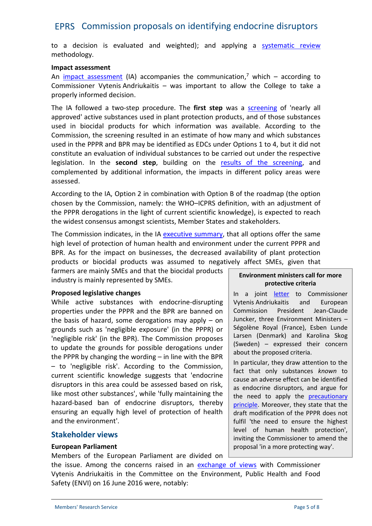to a decision is evaluated and weighted); and applying a [systematic review](http://consumers.cochrane.org/what-systematic-review) methodology.

#### **Impact assessment**

An [impact assessment](http://eur-lex.europa.eu/legal-content/EN/TXT/?qid=1466773301904&uri=CELEX:52016SC0211) (IA) accompanies the communication,<sup>7</sup> which – according to Commissioner Vytenis Andriukaitis – was important to allow the College to take a properly informed decision.

The IA followed a two-step procedure. The **first step** was a [screening](http://bit.ly/29TmaRv) of 'nearly all approved' active substances used in plant protection products, and of those substances used in biocidal products for which information was available. According to the Commission, the screening resulted in an estimate of how many and which substances used in the PPPR and BPR may be identified as EDCs under Options 1 to 4, but it did not constitute an evaluation of individual substances to be carried out under the respective legislation. In the **second step**, building on the [results of the screening](http://ec.europa.eu/health/endocrine_disruptors/docs/2016_impact_assessment_study_en.pdf), and complemented by additional information, the impacts in different policy areas were assessed.

According to the IA, Option 2 in combination with Option B of the roadmap (the option chosen by the Commission, namely: the WHO–ICPRS definition, with an adjustment of the PPPR derogations in the light of current scientific knowledge), is expected to reach the widest consensus amongst scientists, Member States and stakeholders.

The Commission indicates, in the IA [executive summary](http://bit.ly/29NyBOg), that all options offer the same high level of protection of human health and environment under the current PPPR and BPR. As for the impact on businesses, the decreased availability of plant protection products or biocidal products was assumed to negatively affect SMEs, given that

farmers are mainly SMEs and that the biocidal products industry is mainly represented by SMEs.

## **Proposed legislative changes**

While active substances with endocrine-disrupting properties under the PPPR and the BPR are banned on the basis of hazard, some derogations may apply – on grounds such as 'negligible exposure' (in the PPPR) or 'negligible risk' (in the BPR). The Commission proposes to update the grounds for possible derogations under the PPPR by changing the wording – in line with the BPR – to 'negligible risk'. According to the Commission, current scientific knowledge suggests that 'endocrine disruptors in this area could be assessed based on risk, like most other substances', while 'fully maintaining the hazard-based ban of endocrine disruptors, thereby ensuring an equally high level of protection of health and the environment'.

## **Stakeholder views**

## **European Parliament**

Members of the European Parliament are divided on

**Environment ministers call for more protective criteria**

In a joint [letter](http://www.regeringen.se/globalassets/regeringen/dokument/miljo--och-energidepartementet/pdf/vytenisandriukaitis.pdf) to Commissioner Vytenis Andriukaitis and European President Jean-Claude Juncker, three Environment Ministers – Ségolène Royal (France), Esben Lunde Larsen (Denmark) and Karolina Skog (Sweden) – expressed their concern about the proposed criteria.

In particular, they draw attention to the fact that only substances *known* to cause an adverse effect can be identified as endocrine disruptors, and argue for the need to apply the [precautionary](http://www.europarl.europa.eu/thinktank/en/document.html?reference=EPRS_IDA(2015)573876) [principle.](http://www.europarl.europa.eu/thinktank/en/document.html?reference=EPRS_IDA(2015)573876) Moreover, they state that the draft modification of the PPPR does not fulfil 'the need to ensure the highest level of human health protection', inviting the Commissioner to amend the proposal 'in a more protecting way'.

the issue. Among the concerns raised in an [exchange of views](http://www.europarl.europa.eu/ep-live/en/committees/video?event=20160616-0900-COMMITTEE-ENVI) with Commissioner Vytenis Andriukaitis in the Committee on the Environment, Public Health and Food Safety (ENVI) on 16 June 2016 were, notably: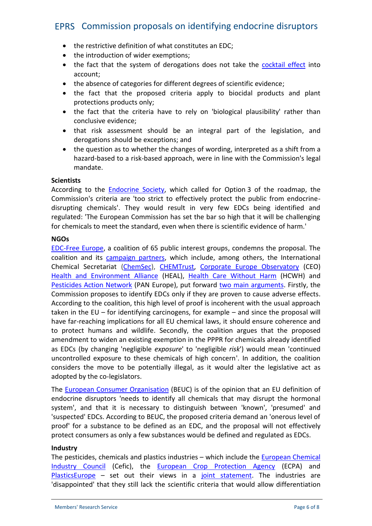- the restrictive definition of what constitutes an EDC;
- the introduction of wider exemptions;
- the fact that the system of derogations does not take the [cocktail](http://ec.europa.eu/environment/chemicals/effects/effects_en.htm) effect into account;
- the absence of categories for different degrees of scientific evidence;
- the fact that the proposed criteria apply to biocidal products and plant protections products only;
- the fact that the criteria have to rely on 'biological plausibility' rather than conclusive evidence;
- that risk assessment should be an integral part of the legislation, and derogations should be exceptions; and
- the question as to whether the changes of wording, interpreted as a shift from a hazard-based to a risk-based approach, were in line with the Commission's legal mandate.

#### **Scientists**

According to the [Endocrine](http://www.endocrine.org/news-room/current-press-releases/european-commissions-overreaching-decision-fails-to-protect-public-health) Society, which called for Option 3 of the roadmap, the Commission's criteria are 'too strict to effectively protect the public from endocrine disrupting chemicals'. They would result in very few EDCs being identified and regulated: 'The European Commission has set the bar so high that it will be challenging for chemicals to meet the standard, even when there is scientific evidence of harm.'

#### **NGOs**

[EDC-Free Europe,](http://www.edc-free-europe.org/edc-free-europe-reaction-on-commissions-edc-criteria-proposal/) a coalition of 65 public interest groups, condemns the proposal. The coalition and its [campaign partners](http://www.edc-free-europe.org/about-us/), which include, among others, the International Chemical Secretariat [\(ChemSec](http://chemsec.org/presented-draft-edc-criteria-will-fail-to-prevent-harm/)), [CHEMTrust](http://www.chemtrust.org.uk/commission-edc-criteria-humanharm/), [Corporate Europe Observatory](http://corporateeurope.org/efsa/2016/06/worse-expected-commission-criteria-endocrine-disruptors-wont-protect-human-health) (CEO) [Health and Environment Alliance](http://www.env-health.org/resources/press-releases/article/europe-s-opportunity-to-stop) (HEAL), [Health Care Without Harm](https://noharm-europe.org/articles/press-release/europe/medical-devices-regulation-positive-steps-undermined-inadequate) (HCWH) and [Pesticides Action Network](http://www.pan-europe.info/press-releases/2016/06/eu-health-commissioner-andriukaitis-decides-leave-europeans-unprotected) (PAN Europe), put forward [two main arguments](http://www.edc-free-europe.org/edc-free-coalition-asks-environment-ministers-to-say-no-to-hormone-disruptors/). Firstly, the Commission proposes to identify EDCs only if they are proven to cause adverse effects. According to the coalition, this high level of proof is incoherent with the usual approach taken in the EU – for identifying carcinogens, for example – and since the proposal will have far-reaching implications for all EU chemical laws, it should ensure coherence and to protect humans and wildlife. Secondly, the coalition argues that the proposed amendment to widen an existing exemption in the PPPR for chemicals already identified as EDCs (by changing 'negligible *exposure*' to 'negligible *risk*') would mean 'continued uncontrolled exposure to these chemicals of high concern'. In addition, the coalition considers the move to be potentially illegal, as it would alter the legislative act as adopted by the co-legislators.

The [European Consumer Organisation](http://www.beuc.eu/publications/beuc-x-2016-063_endocrine_disruptors_criteria.pdf) (BEUC) is of the opinion that an EU definition of endocrine disruptors 'needs to identify all chemicals that may disrupt the hormonal system', and that it is necessary to distinguish between 'known', 'presumed' and 'suspected' EDCs. According to BEUC, the proposed criteria demand an 'onerous level of proof' for a substance to be defined as an EDC, and the proposal will not effectively protect consumers as only a few substances would be defined and regulated as EDCs.

## **Industry**

The pesticides, chemicals and plastics industries – which include the [European Chemical](http://www.cefic.org/newsroom/More-news-from-2016/Joint-Industry-Statement-Examines-EU-Commissions-Proposal-on-Endocrine-Disruptors/) [Industry Council](http://www.cefic.org/newsroom/More-news-from-2016/Joint-Industry-Statement-Examines-EU-Commissions-Proposal-on-Endocrine-Disruptors/) (Cefic), the [European Crop Protection Agency](http://www.ecpa.eu/news/crop-protection-industry-dissapointed-ec-endocrine-disruptor-criteria) (ECPA) and [PlasticsEurope](http://www.plasticseurope.org/) – set out their views in a [joint statement](http://www.cefic.org/Documents/Media Center/News/ED-Joint-Statement-Cefic-ECPA-PlasticsEurope-15-June-2016.pdf). The industries are 'disappointed' that they still lack the scientific criteria that would allow differentiation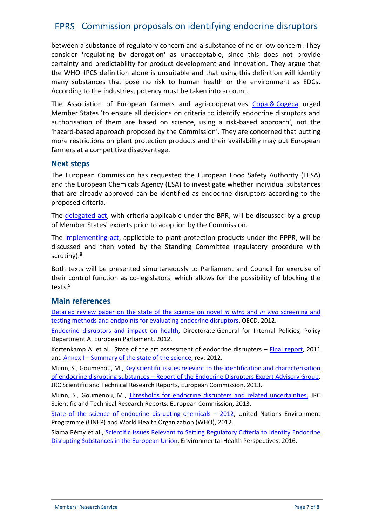between a substance of regulatory concern and a substance of no or low concern. They consider 'regulating by derogation' as unacceptable, since this does not provide certainty and predictability for product development and innovation. They argue that the WHO–IPCS definition alone is unsuitable and that using this definition will identify many substances that pose no risk to human health or the environment as EDCs. According to the industries, potency must be taken into account.

The Association of European farmers and agri-cooperatives Copa & [Cogeca](http://www.copa-cogeca.be/Download.ashx?ID=1533663&fmt=pdf) urged Member States 'to ensure all decisions on criteria to identify endocrine disruptors and authorisation of them are based on science, using a risk-based approach', not the 'hazard-based approach proposed by the Commission'. They are concerned that putting more restrictions on plant protection products and their availability may put European farmers at a competitive disadvantage.

## **Next steps**

The European Commission has requested the European Food Safety Authority (EFSA) and the European Chemicals Agency (ESA) to investigate whether individual substances that are already approved can be identified as endocrine disruptors according to the proposed criteria.

The [delegated act](http://ec.europa.eu/health/endocrine_disruptors/docs/2016_bpcriteria_en.pdf), with criteria applicable under the BPR, will be discussed by a group of Member States' experts prior to adoption by the Commission.

The [implementing act](http://ec.europa.eu/health/endocrine_disruptors/docs/2016_pppcriteria_en.pdf), applicable to plant protection products under the PPPR, will be discussed and then voted by the Standing Committee (regulatory procedure with scrutiny).<sup>8</sup>

Both texts will be presented simultaneously to Parliament and Council for exercise of their control function as co-legislators, which allows for the possibility of blocking the texts.<sup>9</sup>

# **Main references**

[Detailed review paper on the state of the science on novel](http://www.oecd.org/officialdocuments/publicdisplaydocumentpdf/?cote=env/jm/mono(2012)23&doclanguage=en) *in vitro* and *in vivo* screening and [testing methods and endpoints for evaluating](http://www.oecd.org/officialdocuments/publicdisplaydocumentpdf/?cote=env/jm/mono(2012)23&doclanguage=en) endocrine disruptors, OECD, 2012.

[Endocrine disruptors and impact on health](http://www.europarl.europa.eu/RegData/etudes/workshop/join/2012/492452/IPOL-ENVI_AT(2012)492452_EN.pdf), Directorate-General for Internal Policies, Policy Department A, European Parliament, 2012.

Kortenkamp A. et al., State of the art assessment of endocrine disrupters – [Final report](http://ec.europa.eu/environment/chemicals/endocrine/pdf/sota_edc_final_report.pdf), 2011 and Annex I – [Summary of the state of](http://ec.europa.eu/environment/chemicals/endocrine/pdf/annex1_summary_state_of_science.pdf) the science, rev. 2012.

Munn, S., Goumenou, M., [Key scientific issues relevant to the identification and characterisation](http://publications.jrc.ec.europa.eu/repository/handle/JRC79981) of endocrine disrupting substances – [Report of the Endocrine Disrupters Expert Advisory Group](http://publications.jrc.ec.europa.eu/repository/handle/JRC79981), JRC Scientific and Technical Research Reports, European Commission, 2013.

Munn, S., Goumenou, M., [Thresholds for endocrine disrupters and related uncertainties,](http://publications.jrc.ec.europa.eu/repository/handle/JRC83204) JRC Scientific and Technical Research Reports, European Commission, 2013.

[State of the science of endocrine disrupting chemicals](http://www.who.int/ceh/publications/endocrine/en/) – 2012, United Nations Environment Programme (UNEP) and World Health Organization (WHO), 2012.

Slama Rémy et al., Scientific [Issues Relevant to Setting Regulatory Criteria to Identify Endocrine](http://ehp.niehs.nih.gov/EHP217/) [Disrupting Substances in the European Union](http://ehp.niehs.nih.gov/EHP217/), Environmental Health Perspectives, 2016.